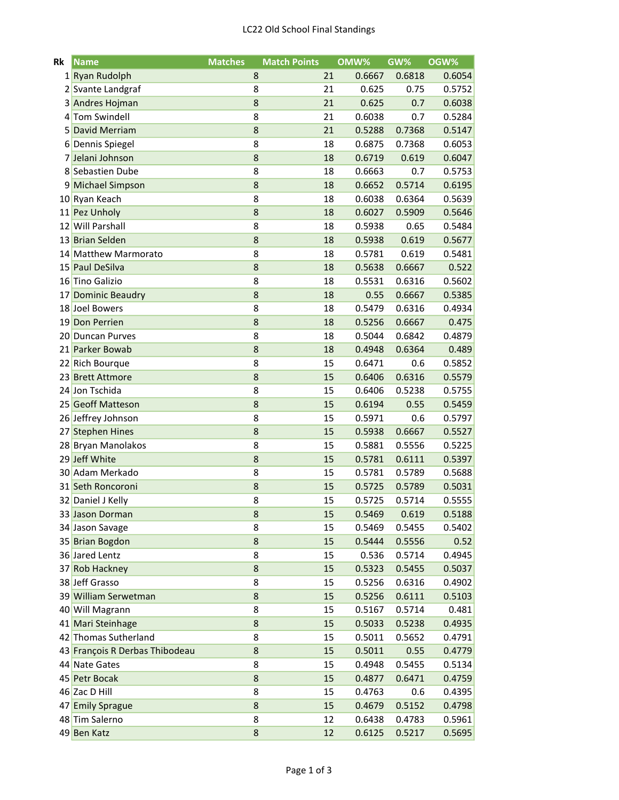| Rk              | Name                                 | <b>Matches</b> | <b>Match Points</b> |    | OMW%             | GW%    | OGW%   |
|-----------------|--------------------------------------|----------------|---------------------|----|------------------|--------|--------|
|                 | 1 Ryan Rudolph                       |                | 8                   | 21 | 0.6667           | 0.6818 | 0.6054 |
|                 | 2 Svante Landgraf                    |                | 8                   | 21 | 0.625            | 0.75   | 0.5752 |
|                 | 3 Andres Hojman                      |                | 8                   | 21 | 0.625            | 0.7    | 0.6038 |
|                 | 4 Tom Swindell                       |                | 8                   | 21 | 0.6038           | 0.7    | 0.5284 |
| 5               | <b>David Merriam</b>                 |                | 8                   | 21 | 0.5288           | 0.7368 | 0.5147 |
|                 | 6 Dennis Spiegel                     |                | 8                   | 18 | 0.6875           | 0.7368 | 0.6053 |
|                 | 7 Jelani Johnson                     |                | 8                   | 18 | 0.6719           | 0.619  | 0.6047 |
|                 | 8 Sebastien Dube                     |                | 8                   | 18 | 0.6663           | 0.7    | 0.5753 |
| 91              | Michael Simpson                      |                | 8                   | 18 | 0.6652           | 0.5714 | 0.6195 |
| 10              | Ryan Keach                           |                | 8                   | 18 | 0.6038           | 0.6364 | 0.5639 |
|                 | 11 Pez Unholy                        |                | 8                   | 18 | 0.6027           | 0.5909 | 0.5646 |
|                 | 12 Will Parshall                     |                | 8                   | 18 | 0.5938           | 0.65   | 0.5484 |
|                 | 13 Brian Selden                      |                | 8                   | 18 | 0.5938           | 0.619  | 0.5677 |
|                 | 14 Matthew Marmorato                 |                | 8                   | 18 | 0.5781           | 0.619  | 0.5481 |
|                 | 15 Paul DeSilva                      |                | 8                   | 18 | 0.5638           | 0.6667 | 0.522  |
|                 | 16 Tino Galizio                      |                | 8                   | 18 | 0.5531           | 0.6316 | 0.5602 |
| 17              | <b>Dominic Beaudry</b>               |                | 8                   | 18 | 0.55             | 0.6667 | 0.5385 |
|                 | 18 Joel Bowers                       |                | 8                   | 18 | 0.5479           | 0.6316 | 0.4934 |
| 19 <sup>1</sup> | Don Perrien                          |                | 8                   | 18 | 0.5256           | 0.6667 | 0.475  |
|                 | 20 Duncan Purves                     |                | 8                   | 18 | 0.5044           | 0.6842 | 0.4879 |
|                 | 21 Parker Bowab                      |                | 8                   | 18 | 0.4948           | 0.6364 | 0.489  |
|                 | 22 Rich Bourque                      |                | 8                   | 15 | 0.6471           | 0.6    | 0.5852 |
|                 | 23 Brett Attmore                     |                | 8                   | 15 | 0.6406           | 0.6316 | 0.5579 |
|                 | 24 Jon Tschida                       |                | 8                   | 15 | 0.6406           | 0.5238 | 0.5755 |
| 25              | <b>Geoff Matteson</b>                |                | 8                   | 15 | 0.6194           | 0.55   | 0.5459 |
|                 | 26 Jeffrey Johnson                   |                | 8                   | 15 | 0.5971           | 0.6    | 0.5797 |
|                 | 27 Stephen Hines                     |                | 8                   | 15 | 0.5938           | 0.6667 | 0.5527 |
|                 | 28 Bryan Manolakos                   |                | 8                   | 15 | 0.5881           | 0.5556 | 0.5225 |
|                 | 29 Jeff White                        |                | 8                   | 15 | 0.5781           | 0.6111 | 0.5397 |
|                 | 30 Adam Merkado                      |                | 8                   | 15 | 0.5781           | 0.5789 | 0.5688 |
|                 | 31 Seth Roncoroni                    |                | 8                   | 15 | 0.5725           | 0.5789 | 0.5031 |
|                 |                                      |                | 8                   | 15 |                  | 0.5714 |        |
|                 | 32 Daniel J Kelly<br>33 Jason Dorman |                |                     |    | 0.5725<br>0.5469 | 0.619  | 0.5555 |
|                 |                                      |                | 8                   | 15 |                  |        | 0.5188 |
|                 | 34 Jason Savage                      |                | 8                   | 15 | 0.5469           | 0.5455 | 0.5402 |
|                 | 35 Brian Bogdon                      |                | 8                   | 15 | 0.5444           | 0.5556 | 0.52   |
|                 | 36 Jared Lentz                       |                | 8                   | 15 | 0.536            | 0.5714 | 0.4945 |
| 37              | <b>Rob Hackney</b>                   |                | 8                   | 15 | 0.5323           | 0.5455 | 0.5037 |
|                 | 38 Jeff Grasso                       |                | 8                   | 15 | 0.5256           | 0.6316 | 0.4902 |
|                 | 39 William Serwetman                 |                | 8                   | 15 | 0.5256           | 0.6111 | 0.5103 |
|                 | 40 Will Magrann                      |                | 8                   | 15 | 0.5167           | 0.5714 | 0.481  |
| 41              | Mari Steinhage                       |                | 8                   | 15 | 0.5033           | 0.5238 | 0.4935 |
|                 | 42 Thomas Sutherland                 |                | 8                   | 15 | 0.5011           | 0.5652 | 0.4791 |
|                 | 43 François R Derbas Thibodeau       |                | 8                   | 15 | 0.5011           | 0.55   | 0.4779 |
|                 | 44 Nate Gates                        |                | 8                   | 15 | 0.4948           | 0.5455 | 0.5134 |
| 45              | Petr Bocak                           |                | 8                   | 15 | 0.4877           | 0.6471 | 0.4759 |
|                 | 46 Zac D Hill                        |                | 8                   | 15 | 0.4763           | 0.6    | 0.4395 |
| 47              | <b>Emily Sprague</b>                 |                | 8                   | 15 | 0.4679           | 0.5152 | 0.4798 |
|                 | 48 Tim Salerno                       |                | 8                   | 12 | 0.6438           | 0.4783 | 0.5961 |
|                 | 49 Ben Katz                          |                | 8                   | 12 | 0.6125           | 0.5217 | 0.5695 |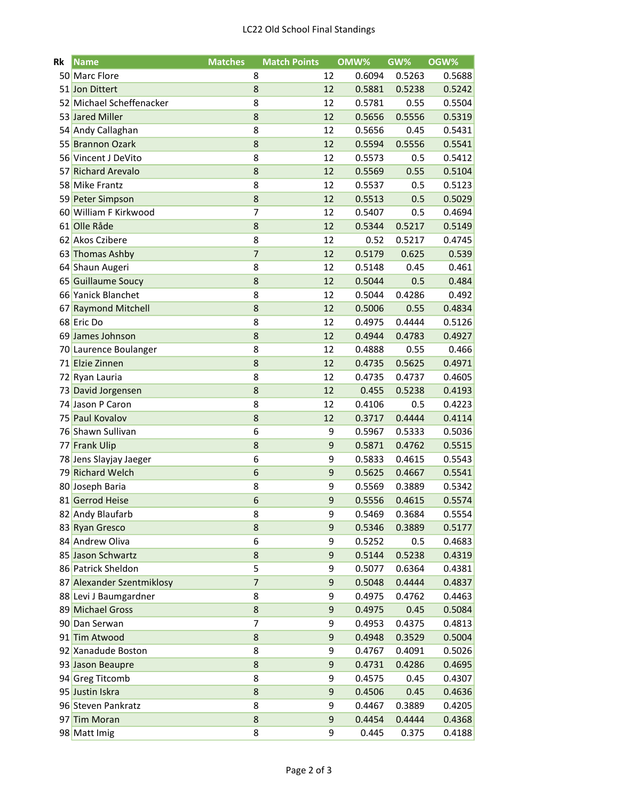| Rk  | <b>Name</b>               | <b>Matches</b> | <b>Match Points</b> |    | OMW%   | GW%    | OGW%   |
|-----|---------------------------|----------------|---------------------|----|--------|--------|--------|
|     | 50 Marc Flore             |                | 8                   | 12 | 0.6094 | 0.5263 | 0.5688 |
|     | 51 Jon Dittert            |                | 8                   | 12 | 0.5881 | 0.5238 | 0.5242 |
|     | 52 Michael Scheffenacker  |                | 8                   | 12 | 0.5781 | 0.55   | 0.5504 |
|     | 53 Jared Miller           |                | 8                   | 12 | 0.5656 | 0.5556 | 0.5319 |
|     | 54 Andy Callaghan         |                | 8                   | 12 | 0.5656 | 0.45   | 0.5431 |
| 55  | <b>Brannon Ozark</b>      |                | 8                   | 12 | 0.5594 | 0.5556 | 0.5541 |
|     | 56 Vincent J DeVito       |                | 8                   | 12 | 0.5573 | 0.5    | 0.5412 |
| 57  | <b>Richard Arevalo</b>    |                | 8                   | 12 | 0.5569 | 0.55   | 0.5104 |
|     | 58 Mike Frantz            |                | 8                   | 12 | 0.5537 | 0.5    | 0.5123 |
|     | 59 Peter Simpson          |                | 8                   | 12 | 0.5513 | 0.5    | 0.5029 |
|     | 60 William F Kirkwood     |                | 7                   | 12 | 0.5407 | 0.5    | 0.4694 |
| 61  | Olle Råde                 |                | 8                   | 12 | 0.5344 | 0.5217 | 0.5149 |
|     | 62 Akos Czibere           |                | 8                   | 12 | 0.52   | 0.5217 | 0.4745 |
| 63  | <b>Thomas Ashby</b>       |                | 7                   | 12 | 0.5179 | 0.625  | 0.539  |
|     | 64 Shaun Augeri           |                | 8                   | 12 | 0.5148 | 0.45   | 0.461  |
|     | 65 Guillaume Soucy        |                | 8                   | 12 | 0.5044 | 0.5    | 0.484  |
|     | 66 Yanick Blanchet        |                | 8                   | 12 | 0.5044 | 0.4286 | 0.492  |
| 67  | <b>Raymond Mitchell</b>   |                | 8                   | 12 | 0.5006 | 0.55   | 0.4834 |
|     | 68 Eric Do                |                | 8                   | 12 | 0.4975 | 0.4444 | 0.5126 |
| 69  | James Johnson             |                | 8                   | 12 | 0.4944 | 0.4783 | 0.4927 |
|     | 70 Laurence Boulanger     |                | 8                   | 12 | 0.4888 | 0.55   | 0.466  |
| 71  | <b>Elzie Zinnen</b>       |                | 8                   | 12 | 0.4735 | 0.5625 | 0.4971 |
|     | 72 Ryan Lauria            |                | 8                   | 12 | 0.4735 | 0.4737 | 0.4605 |
| 73  | David Jorgensen           |                | 8                   | 12 | 0.455  | 0.5238 | 0.4193 |
|     | 74 Jason P Caron          |                | 8                   | 12 | 0.4106 | 0.5    | 0.4223 |
| 75  | Paul Kovalov              |                | 8                   | 12 | 0.3717 | 0.4444 | 0.4114 |
| 76  | Shawn Sullivan            |                | 6                   | 9  | 0.5967 | 0.5333 | 0.5036 |
| 771 | <b>Frank Ulip</b>         |                | 8                   | 9  | 0.5871 | 0.4762 | 0.5515 |
|     | 78 Jens Slayjay Jaeger    |                | 6                   | 9  | 0.5833 | 0.4615 | 0.5543 |
| 79  | <b>Richard Welch</b>      |                | $6\phantom{1}6$     | 9  | 0.5625 | 0.4667 | 0.5541 |
|     | 80 Joseph Baria           |                | 8                   | 9  | 0.5569 | 0.3889 | 0.5342 |
|     | 81 Gerrod Heise           |                | 6                   | 9  | 0.5556 | 0.4615 | 0.5574 |
|     | 82 Andy Blaufarb          |                | 8                   | 9  | 0.5469 | 0.3684 | 0.5554 |
|     | 83 Ryan Gresco            |                | 8                   | 9  | 0.5346 | 0.3889 | 0.5177 |
|     | 84 Andrew Oliva           |                | 6                   | 9  | 0.5252 | 0.5    | 0.4683 |
|     | 85 Jason Schwartz         |                | 8                   | 9  | 0.5144 | 0.5238 | 0.4319 |
|     | 86 Patrick Sheldon        |                | 5                   | 9  | 0.5077 | 0.6364 | 0.4381 |
|     | 87 Alexander Szentmiklosy |                | $\overline{7}$      | 9  | 0.5048 | 0.4444 | 0.4837 |
|     | 88 Levi J Baumgardner     |                | 8                   | 9  | 0.4975 | 0.4762 | 0.4463 |
|     | 89 Michael Gross          |                | 8                   | 9  | 0.4975 | 0.45   | 0.5084 |
| 901 | Dan Serwan                |                | $\overline{7}$      | 9  | 0.4953 | 0.4375 | 0.4813 |
|     | 91 Tim Atwood             |                | 8                   | 9  | 0.4948 | 0.3529 | 0.5004 |
|     | 92 Xanadude Boston        |                | 8                   | 9  | 0.4767 | 0.4091 | 0.5026 |
|     | 93 Jason Beaupre          |                | 8                   | 9  | 0.4731 | 0.4286 | 0.4695 |
|     | 94 Greg Titcomb           |                | 8                   | 9  | 0.4575 | 0.45   | 0.4307 |
|     | 95 Justin Iskra           |                | 8                   | 9  | 0.4506 | 0.45   | 0.4636 |
|     | 96 Steven Pankratz        |                | 8                   | 9  | 0.4467 | 0.3889 | 0.4205 |
|     | 97 Tim Moran              |                | 8                   | 9  | 0.4454 | 0.4444 | 0.4368 |
|     | 98 Matt Imig              |                | 8                   | 9  | 0.445  | 0.375  | 0.4188 |
|     |                           |                |                     |    |        |        |        |